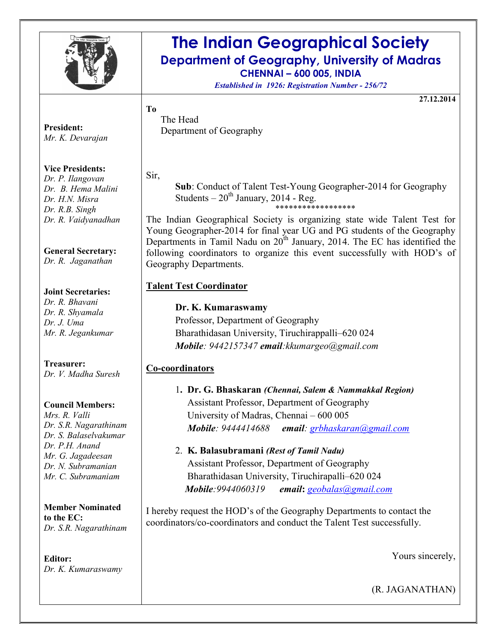

## The Indian Geographical Society Department of Geography, University of Madras CHENNAI – 600 005, INDIA

Established in 1926: Registration Number - 256/72

27.12.2014

President: Mr. K. Devarajan

#### Vice Presidents:

Dr. P. Ilangovan Dr. B. Hema Malini Dr. H.N. Misra Dr. R.B. Singh Dr. R. Vaidyanadhan

#### General Secretary:

Dr. R. Jaganathan

#### Joint Secretaries:

Dr. R. Bhavani Dr. R. Shyamala Dr. J. Uma Mr. R. Jegankumar

#### Treasurer:

Dr. V. Madha Suresh

#### Council Members:

Mrs. R. Valli Dr. S.R. Nagarathinam Dr. S. Balaselvakumar Dr. P.H. Anand Mr. G. Jagadeesan Dr. N. Subramanian Mr. C. Subramaniam

Member Nominated to the EC: Dr. S.R. Nagarathinam

Editor: Dr. K. Kumaraswamy The Head Department of Geography

Sir,

To

Sub: Conduct of Talent Test-Young Geographer-2014 for Geography Students –  $20<sup>th</sup>$  January, 2014 - Reg.

\*\*\*\*\*\*\*\*\*\*\*\*\*\*\*\*\*\*

The Indian Geographical Society is organizing state wide Talent Test for Young Geographer-2014 for final year UG and PG students of the Geography Departments in Tamil Nadu on  $20<sup>th</sup>$  January, 2014. The EC has identified the following coordinators to organize this event successfully with HOD's of Geography Departments.

#### Talent Test Coordinator

#### Dr. K. Kumaraswamy

Professor, Department of Geography Bharathidasan University, Tiruchirappalli–620 024 Mobile: 9442157347 email: kkumargeo@gmail.com

#### Co-coordinators

- 1. Dr. G. Bhaskaran (Chennai, Salem & Nammakkal Region) Assistant Professor, Department of Geography University of Madras, Chennai – 600 005 Mobile: 9444414688 email: grbhaskaran@gmail.com
- 2. K. Balasubramani (Rest of Tamil Nadu) Assistant Professor, Department of Geography Bharathidasan University, Tiruchirapalli–620 024 Mobile: 9944060319 email: geobalas@gmail.com

I hereby request the HOD's of the Geography Departments to contact the coordinators/co-coordinators and conduct the Talent Test successfully.

Yours sincerely,

(R. JAGANATHAN)